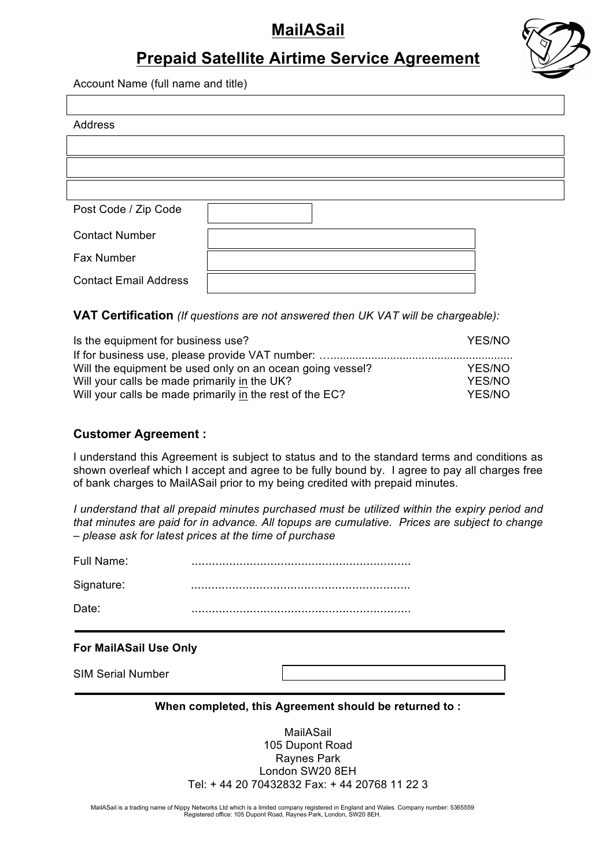# **MailASail**



## **Prepaid Satellite Airtime Service Agreement**

Account Name (full name and title)

| Address                      |  |
|------------------------------|--|
|                              |  |
|                              |  |
|                              |  |
| Post Code / Zip Code         |  |
| <b>Contact Number</b>        |  |
| Fax Number                   |  |
| <b>Contact Email Address</b> |  |

### **VAT Certification** *(If questions are not answered then UK VAT will be chargeable):*

| Is the equipment for business use?                        | YES/NO |
|-----------------------------------------------------------|--------|
|                                                           |        |
| Will the equipment be used only on an ocean going vessel? | YES/NO |
| Will your calls be made primarily in the UK?              | YES/NO |
| Will your calls be made primarily in the rest of the EC?  | YES/NO |

## **Customer Agreement :**

I understand this Agreement is subject to status and to the standard terms and conditions as shown overleaf which I accept and agree to be fully bound by. I agree to pay all charges free of bank charges to MailASail prior to my being credited with prepaid minutes.

*I understand that all prepaid minutes purchased must be utilized within the expiry period and that minutes are paid for in advance. All topups are cumulative. Prices are subject to change – please ask for latest prices at the time of purchase*

Full Name: ................................................................

Signature: ................................................................

Date: ................................................................

### **For MailASail Use Only**

SIM Serial Number

### **When completed, this Agreement should be returned to :**

MailASail 105 Dupont Road Raynes Park London SW20 8EH Tel: + 44 20 70432832 Fax: + 44 20768 11 22 3

MailASail is a trading name of Nippy Networks Ltd which is a limited company registered in England and Wales. Company number: 5365559 Registered office: 105 Dupont Road, Raynes Park, London, SW20 8EH.